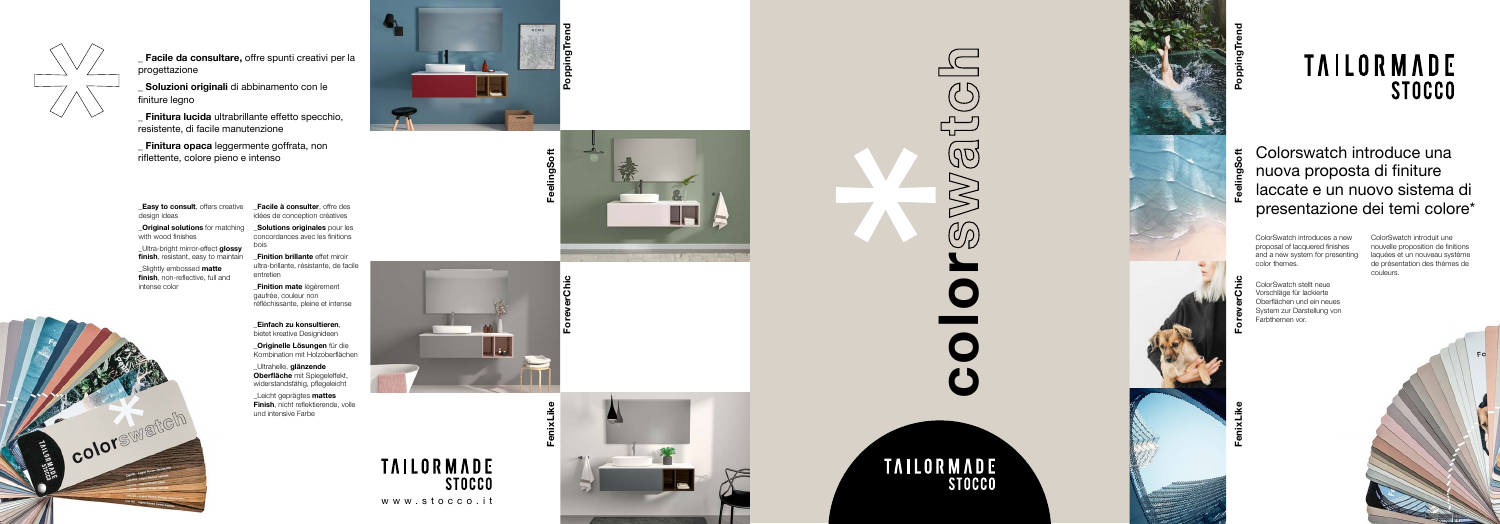



**FeelingSoft**





# **TAILORMADE STOCCO**





 $\prod_{\mathbf{k}^{\prime}}$ 

**FenixLike**





# **ForeverChic**

www.stocco.it

**TAILORMADE** 

**STOCCO** 



**\_ Facile da consultare,** offre spunti creativi per la progettazione

**\_ Soluzioni originali** di abbinamento con le finiture legno

**Easy to consult**, offers creative design ideas

**Original solutions** for matching with wood finishes

\_Ultra-bright mirror-effect **glossy finish**, resistant, easy to maintain

**\_ Finitura lucida** ultrabrillante effetto specchio, resistente, di facile manutenzione

**\_ Finitura opaca** leggermente goffrata, non riflettente, colore pieno e intenso

> **Solutions originales** pour les concordances avec les finitions bois

\_Slightly embossed **matte finish**, non-reflective, full and intense color



**\_Facile à consulter**, offre des idées de conception créatives

**\_Finition brillante** effet miroir ultra-brillante, résistante, de facile entretien

**\_Finition mate** légèrement gaufrée, couleur non réfléchissante, pleine et intense

**\_Einfach zu konsultieren**, bietet kreative Designideen

**\_Originelle Lösungen** für die Kombination mit Holzoberflächen

\_Ultrahelle, **glänzende Oberfläche** mit Spiegeleffekt, widerstandsfähig, pflegeleicht

\_Leicht geprägtes **mattes Finish**, nicht reflektierende, volle und intensive Farbe

Colorswatch introduce una  $5<sup>th</sup>$ nuova proposta di finiture laccate e un nuovo sistema di presentazione dei temi colore\*

> ColorSwatch introduit une nouvelle proposition de finitions laquées et un nouveau système de présentation des thèmes de couleurs.

ColorSwatch stellt neue Vorschläge für lackierte Oberflächen und ein neues System zur Darstellung von Farbthemen vor.

ColorSwatch introduces a new proposal of lacquered finishes and a new system for presenting color themes.